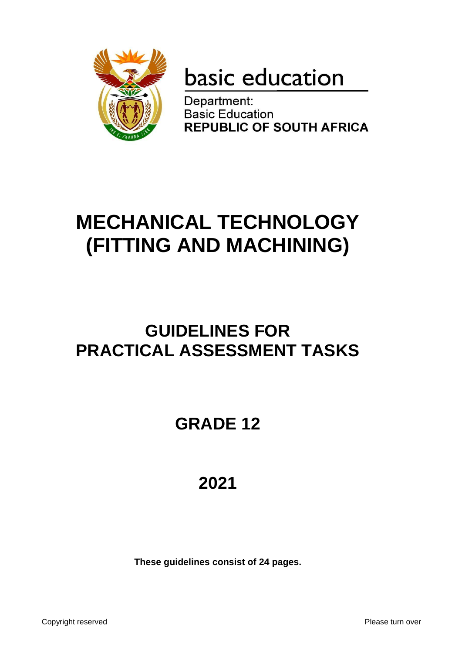

# basic education

Department: **Basic Education REPUBLIC OF SOUTH AFRICA** 

## **MECHANICAL TECHNOLOGY (FITTING AND MACHINING)**

### **GUIDELINES FOR PRACTICAL ASSESSMENT TASKS**

## **GRADE 12**

## **2021**

**These guidelines consist of 24 pages.**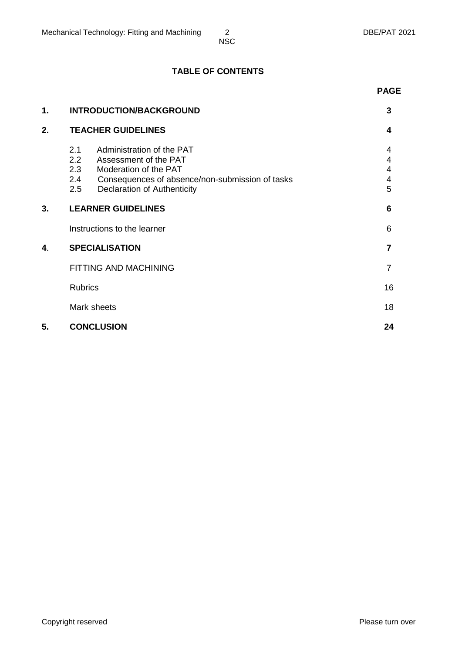#### **TABLE OF CONTENTS**

|                                       |                                                                                                                                                               | <b>PAGE</b>           |
|---------------------------------------|---------------------------------------------------------------------------------------------------------------------------------------------------------------|-----------------------|
| 1.<br>2.1<br>2.2<br>2.3<br>2.4<br>2.5 | <b>INTRODUCTION/BACKGROUND</b>                                                                                                                                | 3                     |
| 2.                                    | <b>TEACHER GUIDELINES</b>                                                                                                                                     | 4                     |
|                                       | Administration of the PAT<br>Assessment of the PAT<br>Moderation of the PAT<br>Consequences of absence/non-submission of tasks<br>Declaration of Authenticity | 4<br>4<br>4<br>4<br>5 |
| 3.                                    | <b>LEARNER GUIDELINES</b>                                                                                                                                     | 6                     |
|                                       | Instructions to the learner                                                                                                                                   | 6                     |
| 4.                                    | <b>SPECIALISATION</b>                                                                                                                                         | 7                     |
|                                       | FITTING AND MACHINING                                                                                                                                         | 7                     |
|                                       | <b>Rubrics</b>                                                                                                                                                | 16                    |
|                                       | Mark sheets                                                                                                                                                   | 18                    |
| 5.                                    | <b>CONCLUSION</b>                                                                                                                                             | 24                    |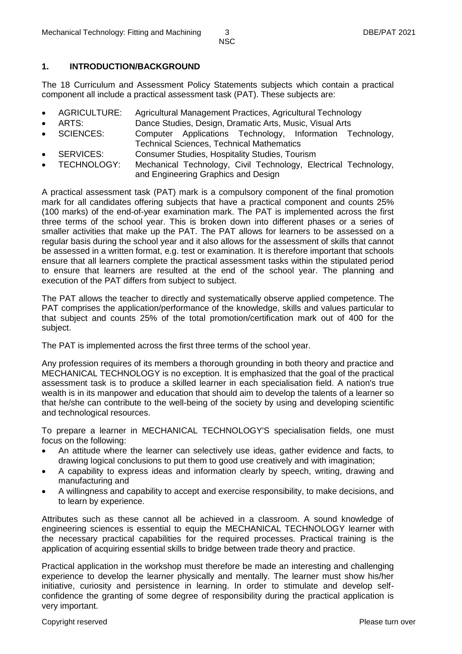#### **1. INTRODUCTION/BACKGROUND**

The 18 Curriculum and Assessment Policy Statements subjects which contain a practical component all include a practical assessment task (PAT). These subjects are:

- AGRICULTURE: Agricultural Management Practices, Agricultural Technology
- ARTS: Dance Studies, Design, Dramatic Arts, Music, Visual Arts
- SCIENCES: Computer Applications Technology, Information Technology, Technical Sciences, Technical Mathematics
- SERVICES: Consumer Studies, Hospitality Studies, Tourism
- TECHNOLOGY: Mechanical Technology, Civil Technology, Electrical Technology, and Engineering Graphics and Design

A practical assessment task (PAT) mark is a compulsory component of the final promotion mark for all candidates offering subjects that have a practical component and counts 25% (100 marks) of the end-of-year examination mark. The PAT is implemented across the first three terms of the school year. This is broken down into different phases or a series of smaller activities that make up the PAT. The PAT allows for learners to be assessed on a regular basis during the school year and it also allows for the assessment of skills that cannot be assessed in a written format, e.g. test or examination. It is therefore important that schools ensure that all learners complete the practical assessment tasks within the stipulated period to ensure that learners are resulted at the end of the school year. The planning and execution of the PAT differs from subject to subject.

The PAT allows the teacher to directly and systematically observe applied competence. The PAT comprises the application/performance of the knowledge, skills and values particular to that subject and counts 25% of the total promotion/certification mark out of 400 for the subject.

The PAT is implemented across the first three terms of the school year.

Any profession requires of its members a thorough grounding in both theory and practice and MECHANICAL TECHNOLOGY is no exception. It is emphasized that the goal of the practical assessment task is to produce a skilled learner in each specialisation field. A nation's true wealth is in its manpower and education that should aim to develop the talents of a learner so that he/she can contribute to the well-being of the society by using and developing scientific and technological resources.

To prepare a learner in MECHANICAL TECHNOLOGY'S specialisation fields, one must focus on the following:

- An attitude where the learner can selectively use ideas, gather evidence and facts, to drawing logical conclusions to put them to good use creatively and with imagination;
- A capability to express ideas and information clearly by speech, writing, drawing and manufacturing and
- A willingness and capability to accept and exercise responsibility, to make decisions, and to learn by experience.

Attributes such as these cannot all be achieved in a classroom. A sound knowledge of engineering sciences is essential to equip the MECHANICAL TECHNOLOGY learner with the necessary practical capabilities for the required processes. Practical training is the application of acquiring essential skills to bridge between trade theory and practice.

Practical application in the workshop must therefore be made an interesting and challenging experience to develop the learner physically and mentally. The learner must show his/her initiative, curiosity and persistence in learning. In order to stimulate and develop selfconfidence the granting of some degree of responsibility during the practical application is very important.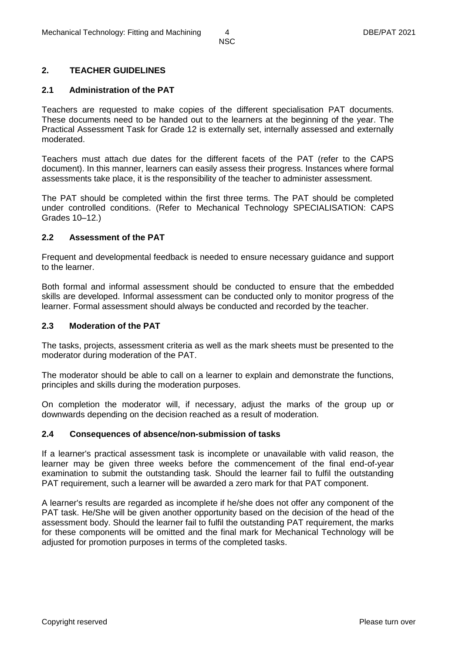#### **2. TEACHER GUIDELINES**

#### **2.1 Administration of the PAT**

Teachers are requested to make copies of the different specialisation PAT documents. These documents need to be handed out to the learners at the beginning of the year. The Practical Assessment Task for Grade 12 is externally set, internally assessed and externally moderated.

Teachers must attach due dates for the different facets of the PAT (refer to the CAPS document). In this manner, learners can easily assess their progress. Instances where formal assessments take place, it is the responsibility of the teacher to administer assessment.

The PAT should be completed within the first three terms. The PAT should be completed under controlled conditions. (Refer to Mechanical Technology SPECIALISATION: CAPS Grades 10–12.)

#### **2.2 Assessment of the PAT**

Frequent and developmental feedback is needed to ensure necessary guidance and support to the learner.

Both formal and informal assessment should be conducted to ensure that the embedded skills are developed. Informal assessment can be conducted only to monitor progress of the learner. Formal assessment should always be conducted and recorded by the teacher.

#### **2.3 Moderation of the PAT**

The tasks, projects, assessment criteria as well as the mark sheets must be presented to the moderator during moderation of the PAT.

The moderator should be able to call on a learner to explain and demonstrate the functions, principles and skills during the moderation purposes.

On completion the moderator will, if necessary, adjust the marks of the group up or downwards depending on the decision reached as a result of moderation.

#### **2.4 Consequences of absence/non-submission of tasks**

If a learner's practical assessment task is incomplete or unavailable with valid reason, the learner may be given three weeks before the commencement of the final end-of-year examination to submit the outstanding task. Should the learner fail to fulfil the outstanding PAT requirement, such a learner will be awarded a zero mark for that PAT component.

A learner's results are regarded as incomplete if he/she does not offer any component of the PAT task. He/She will be given another opportunity based on the decision of the head of the assessment body. Should the learner fail to fulfil the outstanding PAT requirement, the marks for these components will be omitted and the final mark for Mechanical Technology will be adjusted for promotion purposes in terms of the completed tasks.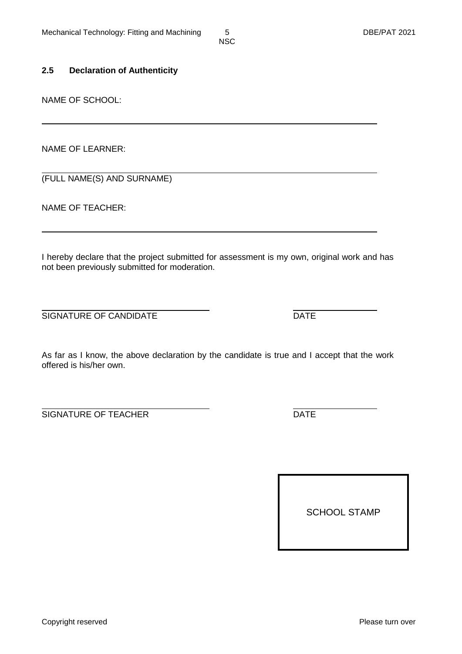#### **2.5 Declaration of Authenticity**

NAME OF SCHOOL:

NAME OF LEARNER:

(FULL NAME(S) AND SURNAME)

NAME OF TEACHER:

I hereby declare that the project submitted for assessment is my own, original work and has not been previously submitted for moderation.

SIGNATURE OF CANDIDATE **DATE** 

As far as I know, the above declaration by the candidate is true and I accept that the work offered is his/her own.

SIGNATURE OF TEACHER DATE

SCHOOL STAMP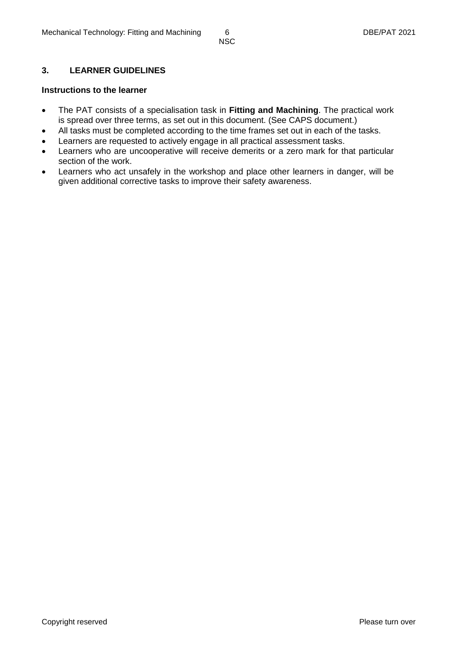#### **3. LEARNER GUIDELINES**

#### **Instructions to the learner**

- The PAT consists of a specialisation task in **Fitting and Machining**. The practical work is spread over three terms, as set out in this document. (See CAPS document.)
- All tasks must be completed according to the time frames set out in each of the tasks.
- Learners are requested to actively engage in all practical assessment tasks.
- Learners who are uncooperative will receive demerits or a zero mark for that particular section of the work.
- Learners who act unsafely in the workshop and place other learners in danger, will be given additional corrective tasks to improve their safety awareness.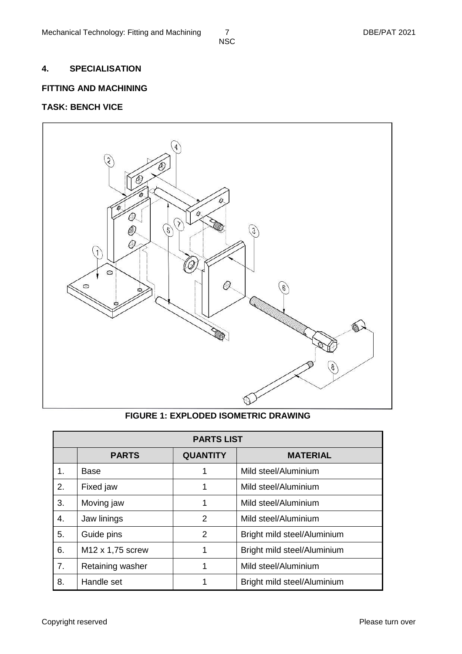#### **4. SPECIALISATION**

#### **FITTING AND MACHINING**

#### **TASK: BENCH VICE**



#### **FIGURE 1: EXPLODED ISOMETRIC DRAWING**

|    |                  | <b>PARTS LIST</b> |                             |
|----|------------------|-------------------|-----------------------------|
|    | <b>PARTS</b>     | <b>QUANTITY</b>   | <b>MATERIAL</b>             |
| 1. | Base             | 1                 | Mild steel/Aluminium        |
| 2. | Fixed jaw        | 1                 | Mild steel/Aluminium        |
| 3. | Moving jaw       | 1                 | Mild steel/Aluminium        |
| 4. | Jaw linings      | 2                 | Mild steel/Aluminium        |
| 5. | Guide pins       | 2                 | Bright mild steel/Aluminium |
| 6. | M12 x 1,75 screw | 1                 | Bright mild steel/Aluminium |
| 7. | Retaining washer | 1                 | Mild steel/Aluminium        |
| 8. | Handle set       |                   | Bright mild steel/Aluminium |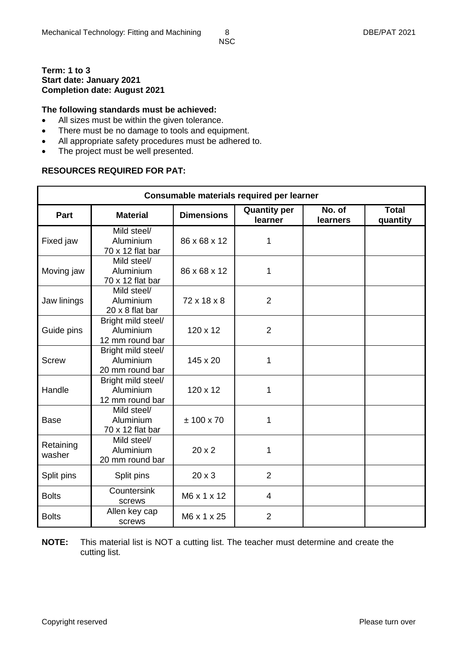#### **Term: 1 to 3 Start date: January 2021 Completion date: August 2021**

#### **The following standards must be achieved:**

- All sizes must be within the given tolerance.
- There must be no damage to tools and equipment.
- All appropriate safety procedures must be adhered to.
- The project must be well presented.

#### **RESOURCES REQUIRED FOR PAT:**

|                     |                                                    |                   | Consumable materials required per learner |                    |                          |
|---------------------|----------------------------------------------------|-------------------|-------------------------------------------|--------------------|--------------------------|
| Part                | <b>Material</b>                                    | <b>Dimensions</b> | <b>Quantity per</b><br>learner            | No. of<br>learners | <b>Total</b><br>quantity |
| Fixed jaw           | Mild steel/<br>Aluminium<br>70 x 12 flat bar       | 86 x 68 x 12      | 1                                         |                    |                          |
| Moving jaw          | Mild steel/<br>Aluminium<br>70 x 12 flat bar       | 86 x 68 x 12      | 1                                         |                    |                          |
| Jaw linings         | Mild steel/<br>Aluminium<br>20 x 8 flat bar        | 72 x 18 x 8       | $\overline{2}$                            |                    |                          |
| Guide pins          | Bright mild steel/<br>Aluminium<br>12 mm round bar | 120 x 12          | $\overline{2}$                            |                    |                          |
| <b>Screw</b>        | Bright mild steel/<br>Aluminium<br>20 mm round bar | 145 x 20          | 1                                         |                    |                          |
| Handle              | Bright mild steel/<br>Aluminium<br>12 mm round bar | $120 \times 12$   | 1                                         |                    |                          |
| <b>Base</b>         | Mild steel/<br>Aluminium<br>70 x 12 flat bar       | $± 100 \times 70$ | 1                                         |                    |                          |
| Retaining<br>washer | Mild steel/<br>Aluminium<br>20 mm round bar        | 20x2              | 1                                         |                    |                          |
| Split pins          | Split pins                                         | $20 \times 3$     | $\overline{2}$                            |                    |                          |
| <b>Bolts</b>        | Countersink<br>screws                              | M6 x 1 x 12       | $\overline{4}$                            |                    |                          |
| <b>Bolts</b>        | Allen key cap<br>screws                            | M6 x 1 x 25       | $\overline{2}$                            |                    |                          |

**NOTE:** This material list is NOT a cutting list. The teacher must determine and create the cutting list.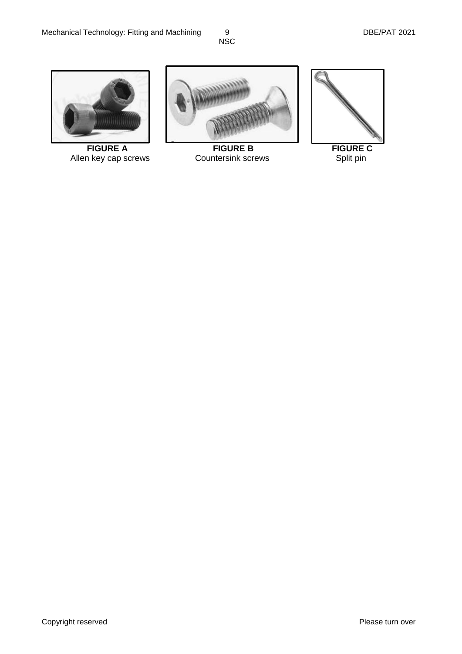

Allen key cap screws



**FIGURE A** FIGURE B FIGURE C<br>
In key cap screws Countersink screws Split pin

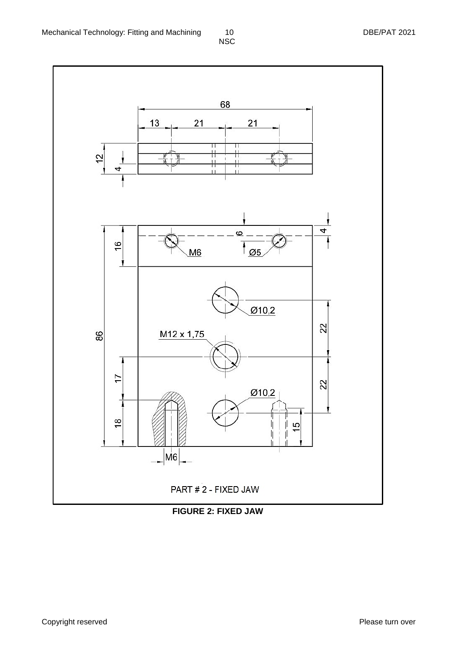

**FIGURE 2: FIXED JAW**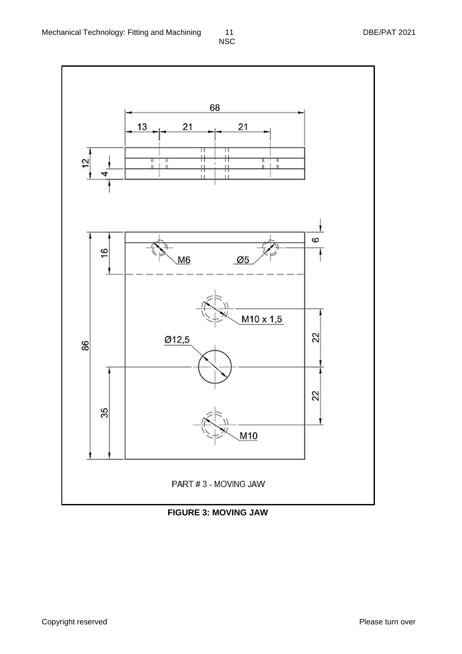

**FIGURE 3: MOVING JAW**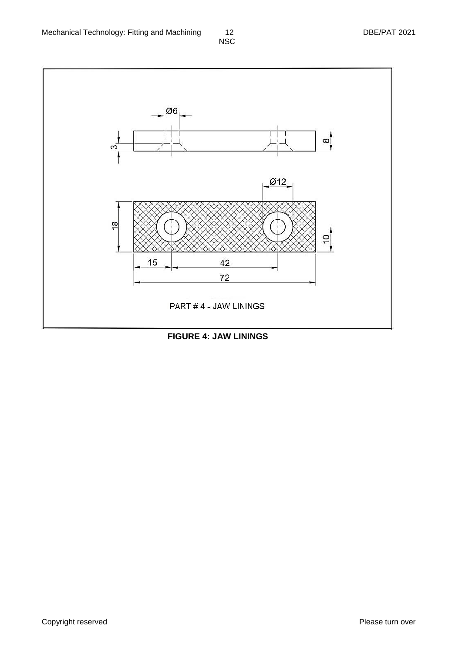

**FIGURE 4: JAW LININGS**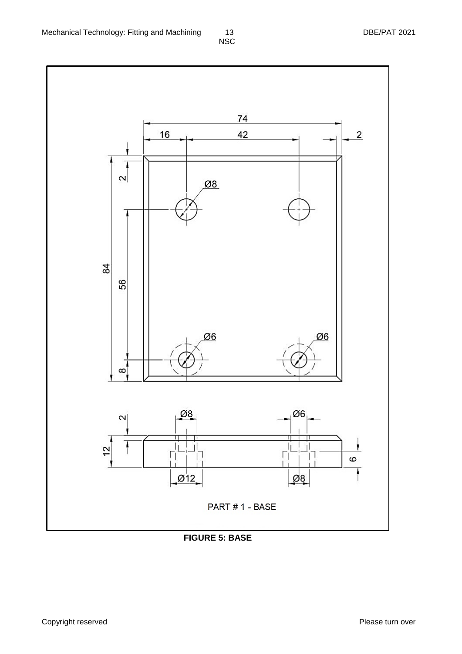

**FIGURE 5: BASE**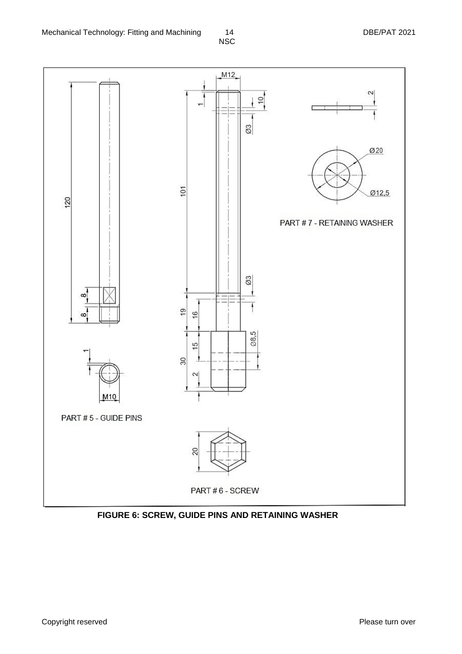

**FIGURE 6: SCREW, GUIDE PINS AND RETAINING WASHER**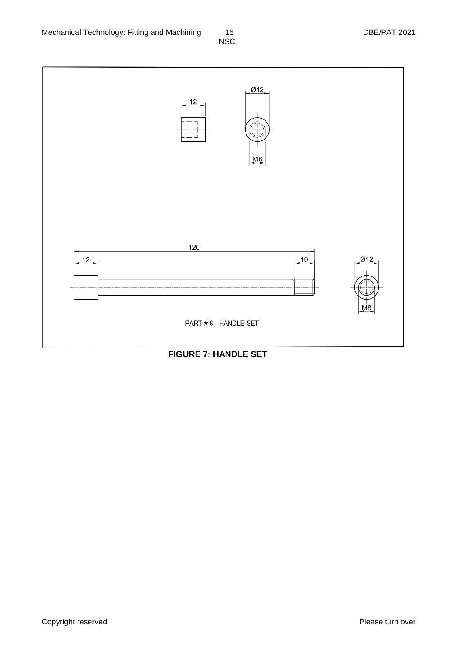

#### **FIGURE 7: HANDLE SET**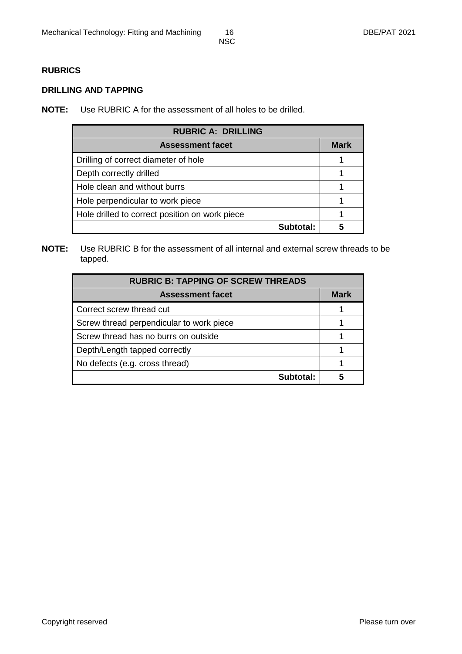#### **RUBRICS**

#### **DRILLING AND TAPPING**

**NOTE:** Use RUBRIC A for the assessment of all holes to be drilled.

| <b>RUBRIC A: DRILLING</b>                      |             |
|------------------------------------------------|-------------|
| <b>Assessment facet</b>                        | <b>Mark</b> |
| Drilling of correct diameter of hole           |             |
| Depth correctly drilled                        |             |
| Hole clean and without burrs                   |             |
| Hole perpendicular to work piece               |             |
| Hole drilled to correct position on work piece |             |
| Subtotal:                                      |             |

**NOTE:** Use RUBRIC B for the assessment of all internal and external screw threads to be tapped.

| <b>RUBRIC B: TAPPING OF SCREW THREADS</b> |      |
|-------------------------------------------|------|
| <b>Assessment facet</b>                   | Mark |
| Correct screw thread cut                  |      |
| Screw thread perpendicular to work piece  |      |
| Screw thread has no burrs on outside      |      |
| Depth/Length tapped correctly             |      |
| No defects (e.g. cross thread)            |      |
| Subtotal:                                 |      |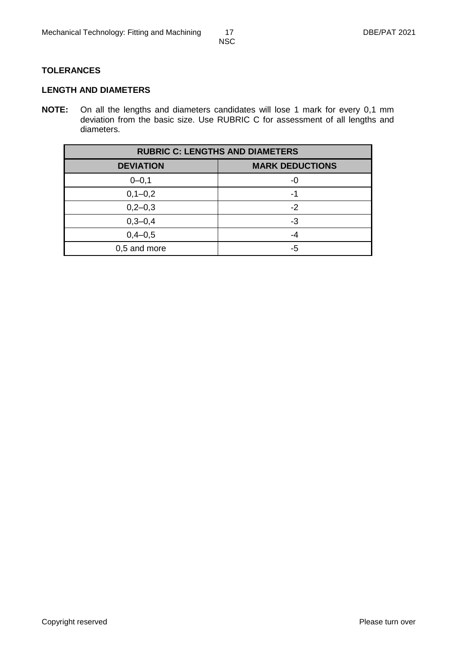#### **TOLERANCES**

#### **LENGTH AND DIAMETERS**

**NOTE:** On all the lengths and diameters candidates will lose 1 mark for every 0,1 mm deviation from the basic size. Use RUBRIC C for assessment of all lengths and diameters.

| <b>RUBRIC C: LENGTHS AND DIAMETERS</b> |                        |  |  |  |  |  |  |  |  |  |  |
|----------------------------------------|------------------------|--|--|--|--|--|--|--|--|--|--|
| <b>DEVIATION</b>                       | <b>MARK DEDUCTIONS</b> |  |  |  |  |  |  |  |  |  |  |
| $0 - 0, 1$                             | -0                     |  |  |  |  |  |  |  |  |  |  |
| $0, 1 - 0, 2$                          | -1                     |  |  |  |  |  |  |  |  |  |  |
| $0,2-0,3$                              | $-2$                   |  |  |  |  |  |  |  |  |  |  |
| $0,3 - 0,4$                            | -3                     |  |  |  |  |  |  |  |  |  |  |
| $0,4 - 0,5$                            | -4                     |  |  |  |  |  |  |  |  |  |  |
| 0,5 and more                           | -5                     |  |  |  |  |  |  |  |  |  |  |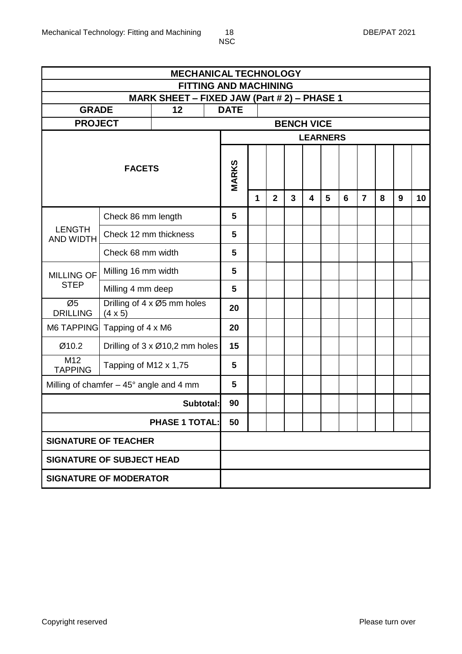|                                                 |                                  |                                             | <b>MECHANICAL TECHNOLOGY</b> |                              |   |                |                |   |   |   |                |   |   |    |  |
|-------------------------------------------------|----------------------------------|---------------------------------------------|------------------------------|------------------------------|---|----------------|----------------|---|---|---|----------------|---|---|----|--|
|                                                 |                                  | MARK SHEET - FIXED JAW (Part # 2) - PHASE 1 |                              | <b>FITTING AND MACHINING</b> |   |                |                |   |   |   |                |   |   |    |  |
| <b>GRADE</b>                                    |                                  | 12                                          |                              | <b>DATE</b>                  |   |                |                |   |   |   |                |   |   |    |  |
| <b>PROJECT</b>                                  |                                  |                                             |                              | <b>BENCH VICE</b>            |   |                |                |   |   |   |                |   |   |    |  |
|                                                 |                                  |                                             |                              | <b>LEARNERS</b>              |   |                |                |   |   |   |                |   |   |    |  |
|                                                 | <b>FACETS</b>                    |                                             |                              | <b>MARKS</b>                 |   |                |                |   |   |   |                |   |   |    |  |
|                                                 |                                  |                                             |                              |                              | 1 | $\overline{2}$ | $\overline{3}$ | 4 | 5 | 6 | $\overline{7}$ | 8 | 9 | 10 |  |
|                                                 | Check 86 mm length               |                                             |                              | 5                            |   |                |                |   |   |   |                |   |   |    |  |
| <b>LENGTH</b><br>AND WIDTH                      | Check 12 mm thickness            | 5                                           |                              |                              |   |                |                |   |   |   |                |   |   |    |  |
|                                                 | Check 68 mm width                |                                             |                              | 5                            |   |                |                |   |   |   |                |   |   |    |  |
| <b>MILLING OF</b>                               | Milling 16 mm width              | 5                                           |                              |                              |   |                |                |   |   |   |                |   |   |    |  |
| <b>STEP</b>                                     | Milling 4 mm deep                | 5                                           |                              |                              |   |                |                |   |   |   |                |   |   |    |  |
| Ø5<br><b>DRILLING</b>                           | $(4 \times 5)$                   | Drilling of 4 x Ø5 mm holes                 |                              | 20                           |   |                |                |   |   |   |                |   |   |    |  |
| M6 TAPPING Tapping of 4 x M6                    |                                  |                                             |                              | 20                           |   |                |                |   |   |   |                |   |   |    |  |
| Ø10.2                                           |                                  | Drilling of $3 \times 010,2$ mm holes       |                              | 15                           |   |                |                |   |   |   |                |   |   |    |  |
| M12<br><b>TAPPING</b>                           | Tapping of M12 x 1,75            |                                             |                              | 5                            |   |                |                |   |   |   |                |   |   |    |  |
| Milling of chamfer $-45^{\circ}$ angle and 4 mm |                                  |                                             |                              | 5                            |   |                |                |   |   |   |                |   |   |    |  |
|                                                 | Subtotal:                        | 90                                          |                              |                              |   |                |                |   |   |   |                |   |   |    |  |
|                                                 | <b>PHASE 1 TOTAL:</b>            | 50                                          |                              |                              |   |                |                |   |   |   |                |   |   |    |  |
|                                                 | <b>SIGNATURE OF TEACHER</b>      |                                             |                              |                              |   |                |                |   |   |   |                |   |   |    |  |
|                                                 | <b>SIGNATURE OF SUBJECT HEAD</b> |                                             |                              |                              |   |                |                |   |   |   |                |   |   |    |  |
| <b>SIGNATURE OF MODERATOR</b>                   |                                  |                                             |                              |                              |   |                |                |   |   |   |                |   |   |    |  |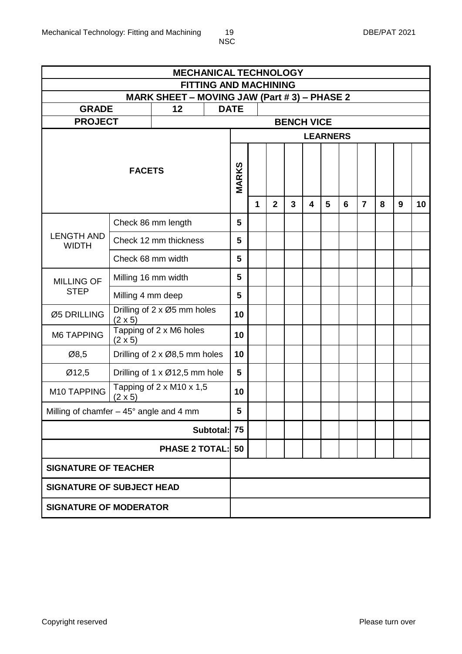|                                                            |                                  | <b>MECHANICAL TECHNOLOGY</b>         |           |                                                                              |              |              |              |                         |                |   |                |   |   |    |  |
|------------------------------------------------------------|----------------------------------|--------------------------------------|-----------|------------------------------------------------------------------------------|--------------|--------------|--------------|-------------------------|----------------|---|----------------|---|---|----|--|
|                                                            |                                  |                                      |           | <b>FITTING AND MACHINING</b><br>MARK SHEET - MOVING JAW (Part # 3) - PHASE 2 |              |              |              |                         |                |   |                |   |   |    |  |
|                                                            |                                  |                                      |           |                                                                              |              |              |              |                         |                |   |                |   |   |    |  |
| <b>GRADE</b>                                               |                                  | 12 <sub>2</sub>                      |           | <b>DATE</b>                                                                  |              |              |              |                         |                |   |                |   |   |    |  |
| <b>PROJECT</b>                                             |                                  |                                      |           | <b>BENCH VICE</b><br><b>LEARNERS</b>                                         |              |              |              |                         |                |   |                |   |   |    |  |
|                                                            |                                  |                                      |           |                                                                              |              |              |              |                         |                |   |                |   |   |    |  |
|                                                            |                                  |                                      |           |                                                                              |              |              |              |                         |                |   |                |   |   |    |  |
|                                                            | <b>FACETS</b>                    |                                      |           |                                                                              |              |              |              |                         |                |   |                |   |   |    |  |
|                                                            |                                  |                                      |           | MARKS                                                                        |              |              |              |                         |                |   |                |   |   |    |  |
|                                                            |                                  |                                      |           |                                                                              | $\mathbf{1}$ | $\mathbf{2}$ | $\mathbf{3}$ | $\overline{\mathbf{4}}$ | $5\phantom{1}$ | 6 | $\overline{7}$ | 8 | 9 | 10 |  |
|                                                            |                                  |                                      |           |                                                                              |              |              |              |                         |                |   |                |   |   |    |  |
|                                                            | Check 86 mm length               |                                      |           |                                                                              |              |              |              |                         |                |   |                |   |   |    |  |
| <b>LENGTH AND</b><br>Check 12 mm thickness<br><b>WIDTH</b> |                                  |                                      |           |                                                                              |              |              |              |                         |                |   |                |   |   |    |  |
|                                                            | Check 68 mm width                | 5                                    |           |                                                                              |              |              |              |                         |                |   |                |   |   |    |  |
| <b>MILLING OF</b>                                          | Milling 16 mm width              | 5                                    |           |                                                                              |              |              |              |                         |                |   |                |   |   |    |  |
| <b>STEP</b>                                                | Milling 4 mm deep                |                                      |           | 5                                                                            |              |              |              |                         |                |   |                |   |   |    |  |
| Ø5 DRILLING                                                | $(2 \times 5)$                   | Drilling of 2 x Ø5 mm holes          |           | 10                                                                           |              |              |              |                         |                |   |                |   |   |    |  |
| <b>M6 TAPPING</b>                                          | $(2 \times 5)$                   | Tapping of 2 x M6 holes              |           | 10                                                                           |              |              |              |                         |                |   |                |   |   |    |  |
| Ø8,5                                                       |                                  | Drilling of 2 x Ø8,5 mm holes        |           | 10                                                                           |              |              |              |                         |                |   |                |   |   |    |  |
| Ø12,5                                                      |                                  | Drilling of 1 x Ø12,5 mm hole        |           | 5                                                                            |              |              |              |                         |                |   |                |   |   |    |  |
| M10 TAPPING                                                | $(2 \times 5)$                   | Tapping of $2 \times M10 \times 1,5$ |           | 10                                                                           |              |              |              |                         |                |   |                |   |   |    |  |
| Milling of chamfer $-45^{\circ}$ angle and 4 mm            |                                  |                                      |           | 5                                                                            |              |              |              |                         |                |   |                |   |   |    |  |
|                                                            |                                  |                                      | Subtotal: | 75                                                                           |              |              |              |                         |                |   |                |   |   |    |  |
|                                                            |                                  | <b>PHASE 2 TOTAL:</b>                |           | 50                                                                           |              |              |              |                         |                |   |                |   |   |    |  |
|                                                            | <b>SIGNATURE OF TEACHER</b>      |                                      |           |                                                                              |              |              |              |                         |                |   |                |   |   |    |  |
|                                                            | <b>SIGNATURE OF SUBJECT HEAD</b> |                                      |           |                                                                              |              |              |              |                         |                |   |                |   |   |    |  |
| <b>SIGNATURE OF MODERATOR</b>                              |                                  |                                      |           |                                                                              |              |              |              |                         |                |   |                |   |   |    |  |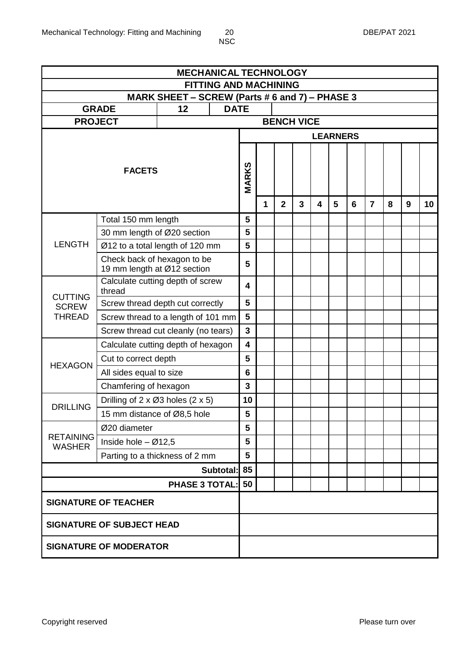|                       |                                                                | <b>MECHANICAL TECHNOLOGY</b>                         |                              |                         |   |                |                   |   |   |   |                |   |   |    |
|-----------------------|----------------------------------------------------------------|------------------------------------------------------|------------------------------|-------------------------|---|----------------|-------------------|---|---|---|----------------|---|---|----|
|                       |                                                                |                                                      | <b>FITTING AND MACHINING</b> |                         |   |                |                   |   |   |   |                |   |   |    |
|                       | <b>GRADE</b>                                                   | MARK SHEET - SCREW (Parts # 6 and 7) - PHASE 3<br>12 | <b>DATE</b>                  |                         |   |                |                   |   |   |   |                |   |   |    |
| <b>PROJECT</b>        |                                                                |                                                      |                              |                         |   |                | <b>BENCH VICE</b> |   |   |   |                |   |   |    |
|                       |                                                                |                                                      |                              | <b>LEARNERS</b>         |   |                |                   |   |   |   |                |   |   |    |
|                       |                                                                |                                                      |                              |                         |   |                |                   |   |   |   |                |   |   |    |
|                       |                                                                |                                                      |                              |                         |   |                |                   |   |   |   |                |   |   |    |
|                       | <b>FACETS</b>                                                  |                                                      |                              | <b>MARKS</b>            |   |                |                   |   |   |   |                |   |   |    |
|                       |                                                                |                                                      |                              |                         |   |                |                   |   |   |   |                |   |   |    |
|                       |                                                                |                                                      |                              |                         | 1 | $\overline{2}$ | 3                 | 4 | 5 | 6 | $\overline{7}$ | 8 | 9 | 10 |
|                       | Total 150 mm length                                            |                                                      |                              | 5                       |   |                |                   |   |   |   |                |   |   |    |
|                       | 30 mm length of Ø20 section                                    |                                                      |                              | 5                       |   |                |                   |   |   |   |                |   |   |    |
| <b>LENGTH</b>         | Ø12 to a total length of 120 mm<br>Check back of hexagon to be |                                                      |                              | 5                       |   |                |                   |   |   |   |                |   |   |    |
|                       | 19 mm length at Ø12 section                                    | 5                                                    |                              |                         |   |                |                   |   |   |   |                |   |   |    |
| <b>CUTTING</b>        | Calculate cutting depth of screw<br>thread                     |                                                      |                              | 4                       |   |                |                   |   |   |   |                |   |   |    |
| <b>SCREW</b>          | Screw thread depth cut correctly                               |                                                      |                              | 5                       |   |                |                   |   |   |   |                |   |   |    |
| <b>THREAD</b>         | Screw thread to a length of 101 mm                             |                                                      |                              | $5\phantom{1}$          |   |                |                   |   |   |   |                |   |   |    |
|                       | Screw thread cut cleanly (no tears)                            |                                                      |                              | $\mathbf{3}$            |   |                |                   |   |   |   |                |   |   |    |
|                       | Calculate cutting depth of hexagon                             |                                                      |                              | $\overline{\mathbf{4}}$ |   |                |                   |   |   |   |                |   |   |    |
| <b>HEXAGON</b>        | Cut to correct depth                                           |                                                      |                              | 5                       |   |                |                   |   |   |   |                |   |   |    |
|                       | All sides equal to size                                        |                                                      |                              | $6\phantom{1}$          |   |                |                   |   |   |   |                |   |   |    |
|                       | Chamfering of hexagon                                          |                                                      |                              | $\mathbf{3}$            |   |                |                   |   |   |   |                |   |   |    |
| <b>DRILLING</b>       | Drilling of $2 \times \emptyset 3$ holes $(2 \times 5)$        |                                                      |                              | 10                      |   |                |                   |   |   |   |                |   |   |    |
|                       | 15 mm distance of Ø8,5 hole                                    |                                                      |                              | 5                       |   |                |                   |   |   |   |                |   |   |    |
| <b>RETAINING</b>      | Ø20 diameter                                                   |                                                      |                              | 5                       |   |                |                   |   |   |   |                |   |   |    |
| <b>WASHER</b>         | Inside hole $-$ Ø12,5                                          |                                                      |                              | 5                       |   |                |                   |   |   |   |                |   |   |    |
|                       | Parting to a thickness of 2 mm                                 |                                                      |                              | $5\phantom{1}$<br>85    |   |                |                   |   |   |   |                |   |   |    |
|                       | Subtotal:                                                      |                                                      |                              |                         |   |                |                   |   |   |   |                |   |   |    |
| <b>PHASE 3 TOTAL:</b> |                                                                |                                                      |                              |                         |   |                |                   |   |   |   |                |   |   |    |
|                       | <b>SIGNATURE OF TEACHER</b>                                    |                                                      |                              |                         |   |                |                   |   |   |   |                |   |   |    |
|                       | <b>SIGNATURE OF SUBJECT HEAD</b>                               |                                                      |                              |                         |   |                |                   |   |   |   |                |   |   |    |
|                       | <b>SIGNATURE OF MODERATOR</b>                                  |                                                      |                              |                         |   |                |                   |   |   |   |                |   |   |    |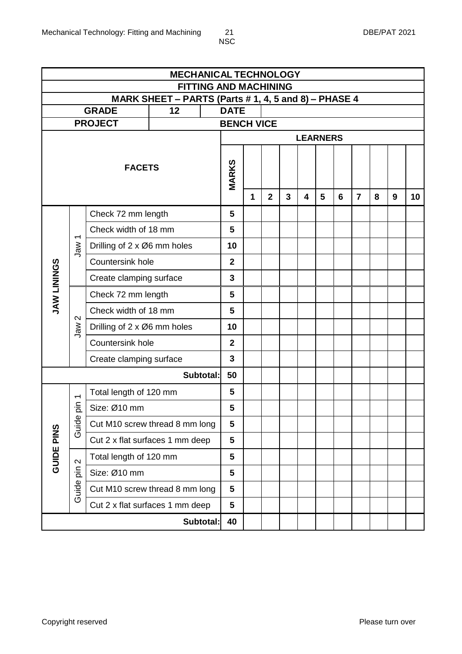| <b>MECHANICAL TECHNOLOGY</b><br><b>FITTING AND MACHINING</b> |                                 |                                 |    |           |                                                                     |             |                |   |                         |   |   |                |   |   |    |
|--------------------------------------------------------------|---------------------------------|---------------------------------|----|-----------|---------------------------------------------------------------------|-------------|----------------|---|-------------------------|---|---|----------------|---|---|----|
|                                                              |                                 |                                 |    |           |                                                                     |             |                |   |                         |   |   |                |   |   |    |
|                                                              |                                 | <b>GRADE</b>                    | 12 |           | MARK SHEET - PARTS (Parts # 1, 4, 5 and 8) - PHASE 4<br><b>DATE</b> |             |                |   |                         |   |   |                |   |   |    |
|                                                              |                                 | <b>PROJECT</b>                  |    |           | <b>BENCH VICE</b>                                                   |             |                |   |                         |   |   |                |   |   |    |
|                                                              |                                 |                                 |    |           | <b>LEARNERS</b>                                                     |             |                |   |                         |   |   |                |   |   |    |
|                                                              |                                 | <b>FACETS</b>                   |    |           | <b>MARKS</b>                                                        | $\mathbf 1$ | $\overline{2}$ | 3 | $\overline{\mathbf{4}}$ | 5 | 6 | $\overline{7}$ | 8 | 9 | 10 |
| Check 72 mm length                                           |                                 |                                 |    |           | 5                                                                   |             |                |   |                         |   |   |                |   |   |    |
|                                                              | $\overline{\phantom{0}}$<br>Jaw | Check width of 18 mm            |    |           | 5                                                                   |             |                |   |                         |   |   |                |   |   |    |
|                                                              |                                 | Drilling of 2 x Ø6 mm holes     |    |           | 10                                                                  |             |                |   |                         |   |   |                |   |   |    |
|                                                              |                                 | Countersink hole                |    |           | $\overline{2}$                                                      |             |                |   |                         |   |   |                |   |   |    |
| <b>SONINIT WAY</b>                                           |                                 | Create clamping surface         |    |           | $\overline{3}$                                                      |             |                |   |                         |   |   |                |   |   |    |
|                                                              |                                 | Check 72 mm length              |    |           | 5                                                                   |             |                |   |                         |   |   |                |   |   |    |
|                                                              |                                 | Check width of 18 mm            |    | 5         |                                                                     |             |                |   |                         |   |   |                |   |   |    |
|                                                              | $\mathbf{\Omega}$<br>Jaw        | Drilling of 2 x Ø6 mm holes     |    |           | 10                                                                  |             |                |   |                         |   |   |                |   |   |    |
|                                                              |                                 | Countersink hole                |    |           |                                                                     |             |                |   |                         |   |   |                |   |   |    |
|                                                              |                                 | Create clamping surface         |    |           | $\overline{3}$                                                      |             |                |   |                         |   |   |                |   |   |    |
|                                                              |                                 |                                 |    | Subtotal: | 50                                                                  |             |                |   |                         |   |   |                |   |   |    |
|                                                              | $\overline{\phantom{0}}$        | Total length of 120 mm          |    |           | 5                                                                   |             |                |   |                         |   |   |                |   |   |    |
|                                                              | niq                             | Size: Ø10 mm                    |    |           | 5                                                                   |             |                |   |                         |   |   |                |   |   |    |
|                                                              | Guide                           | Cut M10 screw thread 8 mm long  |    |           | 5                                                                   |             |                |   |                         |   |   |                |   |   |    |
|                                                              |                                 | Cut 2 x flat surfaces 1 mm deep |    |           | 5                                                                   |             |                |   |                         |   |   |                |   |   |    |
| <b>GUIDE PINS</b>                                            | $\mathbf{\Omega}$               | Total length of 120 mm          |    |           | 5                                                                   |             |                |   |                         |   |   |                |   |   |    |
|                                                              | $\frac{1}{\alpha}$              | Size: Ø10 mm                    |    |           | 5                                                                   |             |                |   |                         |   |   |                |   |   |    |
|                                                              | Guide                           | Cut M10 screw thread 8 mm long  |    |           | 5                                                                   |             |                |   |                         |   |   |                |   |   |    |
|                                                              |                                 | Cut 2 x flat surfaces 1 mm deep |    |           | 5                                                                   |             |                |   |                         |   |   |                |   |   |    |
|                                                              |                                 |                                 |    | Subtotal: | 40                                                                  |             |                |   |                         |   |   |                |   |   |    |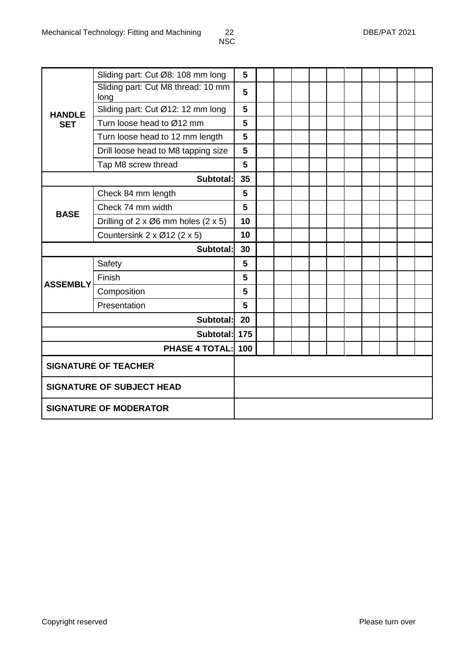|                                  | Sliding part: Cut Ø8: 108 mm long                          | 5   |  |  |  |  |  |  |  |
|----------------------------------|------------------------------------------------------------|-----|--|--|--|--|--|--|--|
|                                  | Sliding part: Cut M8 thread: 10 mm<br>long                 | 5   |  |  |  |  |  |  |  |
| <b>HANDLE</b>                    | Sliding part: Cut Ø12: 12 mm long                          | 5   |  |  |  |  |  |  |  |
| <b>SET</b>                       | Turn loose head to Ø12 mm                                  | 5   |  |  |  |  |  |  |  |
|                                  | Turn loose head to 12 mm length                            | 5   |  |  |  |  |  |  |  |
|                                  | Drill loose head to M8 tapping size                        | 5   |  |  |  |  |  |  |  |
|                                  | Tap M8 screw thread                                        | 5   |  |  |  |  |  |  |  |
|                                  | Subtotal:                                                  | 35  |  |  |  |  |  |  |  |
|                                  | 5                                                          |     |  |  |  |  |  |  |  |
| <b>BASE</b>                      | Check 74 mm width                                          | 5   |  |  |  |  |  |  |  |
|                                  | Drilling of $2 \times \emptyset 6$ mm holes $(2 \times 5)$ | 10  |  |  |  |  |  |  |  |
|                                  | Countersink $2 \times 012$ ( $2 \times 5$ )                | 10  |  |  |  |  |  |  |  |
|                                  | Subtotal:                                                  | 30  |  |  |  |  |  |  |  |
|                                  | Safety                                                     | 5   |  |  |  |  |  |  |  |
| <b>ASSEMBLY</b>                  | Finish                                                     | 5   |  |  |  |  |  |  |  |
|                                  | Composition                                                | 5   |  |  |  |  |  |  |  |
|                                  | Presentation                                               | 5   |  |  |  |  |  |  |  |
|                                  | Subtotal:                                                  | 20  |  |  |  |  |  |  |  |
|                                  | Subtotal:                                                  | 175 |  |  |  |  |  |  |  |
|                                  | <b>PHASE 4 TOTAL:</b><br>100                               |     |  |  |  |  |  |  |  |
| <b>SIGNATURE OF TEACHER</b>      |                                                            |     |  |  |  |  |  |  |  |
| <b>SIGNATURE OF SUBJECT HEAD</b> |                                                            |     |  |  |  |  |  |  |  |
| <b>SIGNATURE OF MODERATOR</b>    |                                                            |     |  |  |  |  |  |  |  |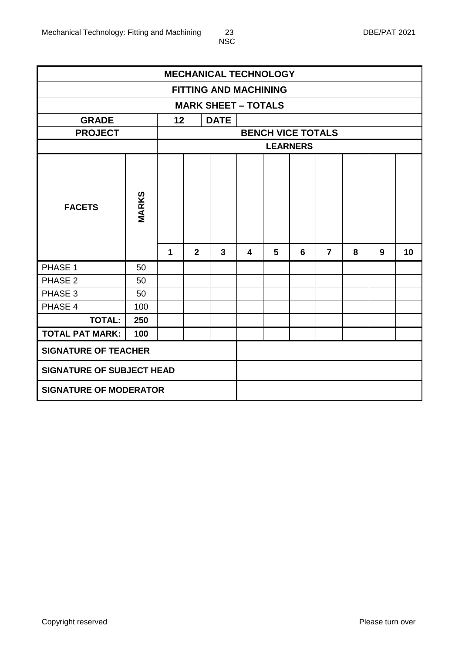| <b>MECHANICAL TECHNOLOGY</b>     |                               |             |                |                              |                          |   |   |                |   |   |    |  |  |  |
|----------------------------------|-------------------------------|-------------|----------------|------------------------------|--------------------------|---|---|----------------|---|---|----|--|--|--|
|                                  |                               |             |                | <b>FITTING AND MACHINING</b> |                          |   |   |                |   |   |    |  |  |  |
|                                  |                               |             |                | <b>MARK SHEET - TOTALS</b>   |                          |   |   |                |   |   |    |  |  |  |
| <b>GRADE</b>                     |                               | 12          |                | <b>DATE</b>                  |                          |   |   |                |   |   |    |  |  |  |
| <b>PROJECT</b>                   |                               |             |                |                              | <b>BENCH VICE TOTALS</b> |   |   |                |   |   |    |  |  |  |
|                                  |                               |             |                |                              | <b>LEARNERS</b>          |   |   |                |   |   |    |  |  |  |
| <b>FACETS</b>                    | <b>MARKS</b>                  |             |                |                              |                          |   |   |                |   |   |    |  |  |  |
|                                  |                               | $\mathbf 1$ | $\overline{2}$ | $\mathbf{3}$                 | 4                        | 5 | 6 | $\overline{7}$ | 8 | 9 | 10 |  |  |  |
| PHASE 1                          | 50                            |             |                |                              |                          |   |   |                |   |   |    |  |  |  |
| PHASE 2                          | 50                            |             |                |                              |                          |   |   |                |   |   |    |  |  |  |
| PHASE 3                          | 50                            |             |                |                              |                          |   |   |                |   |   |    |  |  |  |
| PHASE 4                          | 100                           |             |                |                              |                          |   |   |                |   |   |    |  |  |  |
| <b>TOTAL:</b>                    | 250                           |             |                |                              |                          |   |   |                |   |   |    |  |  |  |
| <b>TOTAL PAT MARK:</b>           | 100                           |             |                |                              |                          |   |   |                |   |   |    |  |  |  |
| <b>SIGNATURE OF TEACHER</b>      |                               |             |                |                              |                          |   |   |                |   |   |    |  |  |  |
| <b>SIGNATURE OF SUBJECT HEAD</b> |                               |             |                |                              |                          |   |   |                |   |   |    |  |  |  |
|                                  | <b>SIGNATURE OF MODERATOR</b> |             |                |                              |                          |   |   |                |   |   |    |  |  |  |